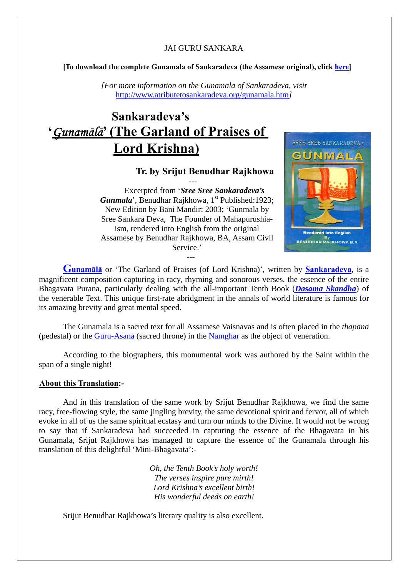### JAI GURU SANKARA

**[To download the complete Gunamala of Sankaradeva (the Assamese original), click [here](http://atributetosankaradeva.org/Gunamala.pdf)]** 

*[For more information on the Gunamala of Sankaradeva, visit*  <http://www.atributetosankaradeva.org/gunamala.htm>*]* 

# **Sankaradeva's '***Gunam*ā*l*ā**' (The Garland of Praises of Lord Krishna)**

## **Tr. by Srijut Benudhar Rajkhowa**

--- Excerpted from '*Sree Sree Sankaradeva's Gunmala*', Benudhar Rajkhowa, 1<sup>st</sup> Published: 1923; New Edition by Bani Mandir: 2003; 'Gunmala by Sree Sankara Deva, The Founder of Mahapurushiaism, rendered into English from the original Assamese by Benudhar Rajkhowa, BA, Assam Civil Service.'

---



**[Gunam](http://www.atributetosankaradeva.org/gunamala.htm)ālā** or 'The Garland of Praises (of Lord Krishna)', written by **[Sankaradeva](http://atributetosankaradeva.org/Sankaradeva.htm)**, is a magnificent composition capturing in racy, rhyming and sonorous verses, the essence of the entire Bhagavata Purana, particularly dealing with the all-important Tenth Book (*[Dasama Skandha](http://atributetosankaradeva.org/Dasama.htm)*) of the venerable Text. This unique first-rate abridgment in the annals of world literature is famous for its amazing brevity and great mental speed.

The Gunamala is a sacred text for all Assamese Vaisnavas and is often placed in the *thapana* (pedestal) or the [Guru-Asana](http://atributetosankaradeva.org/guru_asana.htm) (sacred throne) in the [Namghar](http://atributetosankaradeva.org/namghar.htm) as the object of veneration.

According to the biographers, this monumental work was authored by the Saint within the span of a single night!

#### **About this Translation:-**

And in this translation of the same work by Srijut Benudhar Rajkhowa, we find the same racy, free-flowing style, the same jingling brevity, the same devotional spirit and fervor, all of which evoke in all of us the same spiritual ecstasy and turn our minds to the Divine. It would not be wrong to say that if Sankaradeva had succeeded in capturing the essence of the Bhagavata in his Gunamala, Srijut Rajkhowa has managed to capture the essence of the Gunamala through his translation of this delightful 'Mini-Bhagavata':-

> *Oh, the Tenth Book's holy worth! The verses inspire pure mirth! Lord Krishna's excellent birth! His wonderful deeds on earth!*

Srijut Benudhar Rajkhowa's literary quality is also excellent.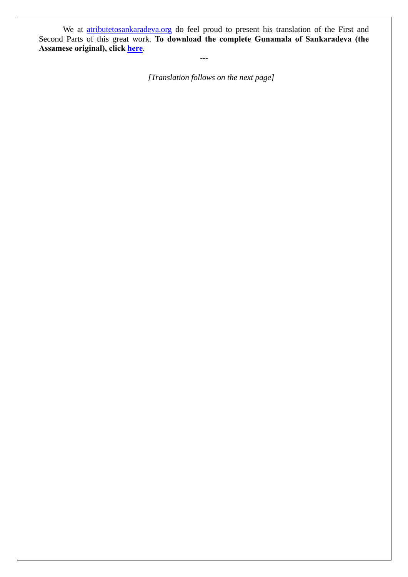We at **atributetosankaradeva.org** do feel proud to present his translation of the First and Second Parts of this great work. **To download the complete Gunamala of Sankaradeva (the Assamese original), click [here](http://atributetosankaradeva.org/Gunamala.pdf)**.

---

*[Translation follows on the next page]*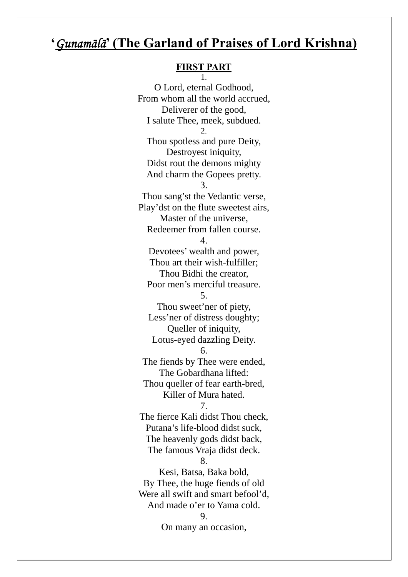## **'***Gunam*ā*l*ā**' (The Garland of Praises of Lord Krishna)**

#### **FIRST PART** 1.

O Lord, eternal Godhood,

From whom all the world accrued, Deliverer of the good, I salute Thee, meek, subdued. 2. Thou spotless and pure Deity, Destroyest iniquity, Didst rout the demons mighty And charm the Gopees pretty. 3. Thou sang'st the Vedantic verse, Play'dst on the flute sweetest airs, Master of the universe, Redeemer from fallen course. 4. Devotees' wealth and power, Thou art their wish-fulfiller; Thou Bidhi the creator, Poor men's merciful treasure. 5. Thou sweet'ner of piety, Less'ner of distress doughty; Queller of iniquity, Lotus-eyed dazzling Deity. 6. The fiends by Thee were ended, The Gobardhana lifted: Thou queller of fear earth-bred, Killer of Mura hated. 7. The fierce Kali didst Thou check, Putana's life-blood didst suck, The heavenly gods didst back, The famous Vraja didst deck. 8. Kesi, Batsa, Baka bold, By Thee, the huge fiends of old Were all swift and smart befool'd, And made o'er to Yama cold. 9. On many an occasion,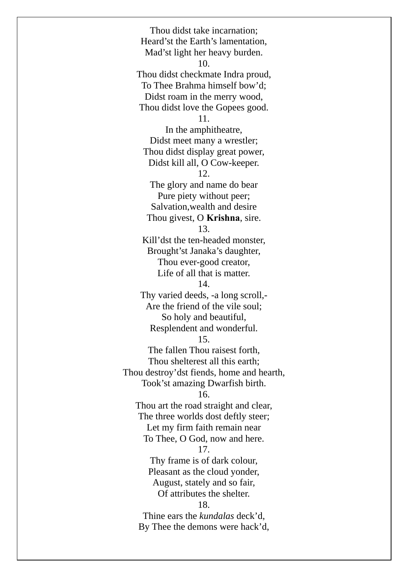Thou didst take incarnation; Heard'st the Earth's lamentation, Mad'st light her heavy burden. 10. Thou didst checkmate Indra proud, To Thee Brahma himself bow'd; Didst roam in the merry wood, Thou didst love the Gopees good. 11. In the amphitheatre, Didst meet many a wrestler; Thou didst display great power, Didst kill all, O Cow-keeper. 12. The glory and name do bear Pure piety without peer; Salvation,wealth and desire Thou givest, O **Krishna**, sire. 13. Kill'dst the ten-headed monster, Brought'st Janaka's daughter, Thou ever-good creator, Life of all that is matter. 14. Thy varied deeds, -a long scroll,- Are the friend of the vile soul; So holy and beautiful, Resplendent and wonderful. 15. The fallen Thou raisest forth, Thou shelterest all this earth; Thou destroy'dst fiends, home and hearth, Took'st amazing Dwarfish birth. 16. Thou art the road straight and clear, The three worlds dost deftly steer; Let my firm faith remain near To Thee, O God, now and here. 17. Thy frame is of dark colour, Pleasant as the cloud yonder, August, stately and so fair, Of attributes the shelter. 18. Thine ears the *kundalas* deck'd, By Thee the demons were hack'd,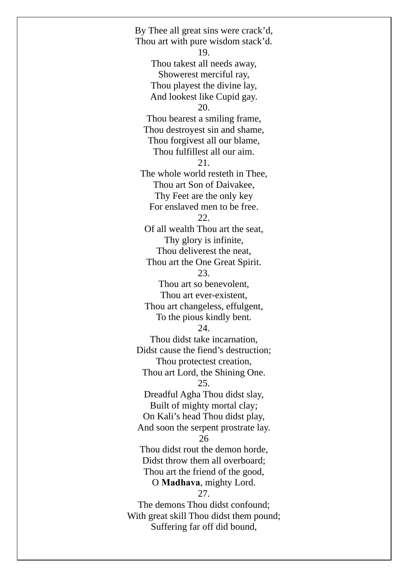By Thee all great sins were crack'd, Thou art with pure wisdom stack'd. 19. Thou takest all needs away, Showerest merciful ray, Thou playest the divine lay, And lookest like Cupid gay. 20. Thou bearest a smiling frame, Thou destroyest sin and shame, Thou forgivest all our blame, Thou fulfillest all our aim. 21. The whole world resteth in Thee, Thou art Son of Daivakee, Thy Feet are the only key For enslaved men to be free. 22. Of all wealth Thou art the seat, Thy glory is infinite, Thou deliverest the neat, Thou art the One Great Spirit. 23. Thou art so benevolent, Thou art ever-existent, Thou art changeless, effulgent, To the pious kindly bent. 24. Thou didst take incarnation, Didst cause the fiend's destruction; Thou protectest creation, Thou art Lord, the Shining One. 25. Dreadful Agha Thou didst slay, Built of mighty mortal clay; On Kali's head Thou didst play, And soon the serpent prostrate lay. 26 Thou didst rout the demon horde, Didst throw them all overboard; Thou art the friend of the good, O **Madhava**, mighty Lord. 27. The demons Thou didst confound; With great skill Thou didst them pound; Suffering far off did bound,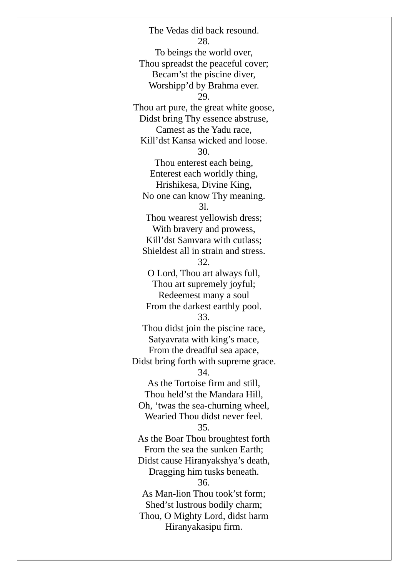The Vedas did back resound. 28. To beings the world over, Thou spreadst the peaceful cover; Becam'st the piscine diver, Worshipp'd by Brahma ever. 29. Thou art pure, the great white goose, Didst bring Thy essence abstruse, Camest as the Yadu race, Kill'dst Kansa wicked and loose. 30. Thou enterest each being, Enterest each worldly thing, Hrishikesa, Divine King, No one can know Thy meaning. 3l. Thou wearest yellowish dress; With bravery and prowess, Kill'dst Samvara with cutlass; Shieldest all in strain and stress. 32. O Lord, Thou art always full, Thou art supremely joyful; Redeemest many a soul From the darkest earthly pool. 33. Thou didst join the piscine race, Satyavrata with king's mace, From the dreadful sea apace, Didst bring forth with supreme grace. 34. As the Tortoise firm and still, Thou held'st the Mandara Hill, Oh, 'twas the sea-churning wheel, Wearied Thou didst never feel. 35. As the Boar Thou broughtest forth From the sea the sunken Earth; Didst cause Hiranyakshya's death, Dragging him tusks beneath. 36. As Man-lion Thou took'st form; Shed'st lustrous bodily charm; Thou, O Mighty Lord, didst harm Hiranyakasipu firm.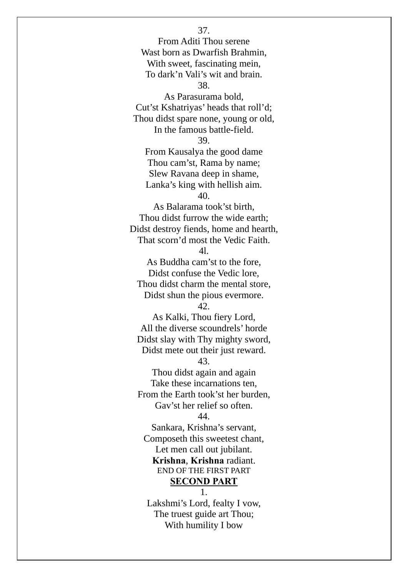From Aditi Thou serene Wast born as Dwarfish Brahmin, With sweet, fascinating mein, To dark'n Vali's wit and brain. 38. As Parasurama bold, Cut'st Kshatriyas' heads that roll'd; Thou didst spare none, young or old, In the famous battle-field. 39. From Kausalya the good dame Thou cam'st, Rama by name; Slew Ravana deep in shame, Lanka's king with hellish aim. 40. As Balarama took'st birth, Thou didst furrow the wide earth; Didst destroy fiends, home and hearth, That scorn'd most the Vedic Faith. 4l. As Buddha cam'st to the fore, Didst confuse the Vedic lore, Thou didst charm the mental store, Didst shun the pious evermore. 42. As Kalki, Thou fiery Lord, All the diverse scoundrels' horde Didst slay with Thy mighty sword, Didst mete out their just reward. 43. Thou didst again and again Take these incarnations ten, From the Earth took'st her burden, Gav'st her relief so often. 44. Sankara, Krishna's servant, Composeth this sweetest chant, Let men call out jubilant. **Krishna**, **Krishna** radiant. END OF THE FIRST PART **SECOND PART** 1.

37.

Lakshmi's Lord, fealty I vow, The truest guide art Thou; With humility I bow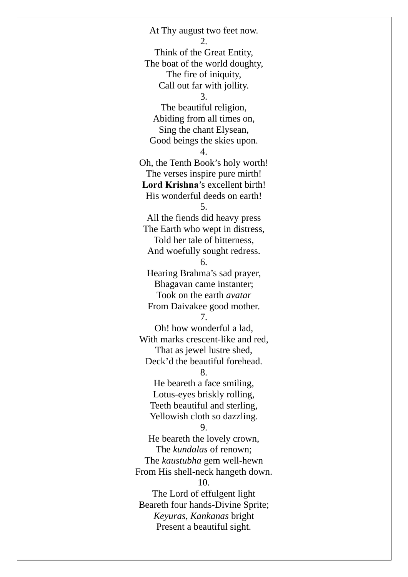At Thy august two feet now. 2. Think of the Great Entity, The boat of the world doughty, The fire of iniquity, Call out far with jollity. 3. The beautiful religion, Abiding from all times on, Sing the chant Elysean, Good beings the skies upon. 4. Oh, the Tenth Book's holy worth! The verses inspire pure mirth! **Lord Krishna**'s excellent birth! His wonderful deeds on earth! 5. All the fiends did heavy press The Earth who wept in distress, Told her tale of bitterness, And woefully sought redress. 6. Hearing Brahma's sad prayer, Bhagavan came instanter; Took on the earth *avatar*  From Daivakee good mother. 7. Oh! how wonderful a lad, With marks crescent-like and red, That as jewel lustre shed, Deck'd the beautiful forehead. 8. He beareth a face smiling, Lotus-eyes briskly rolling, Teeth beautiful and sterling, Yellowish cloth so dazzling. 9. He beareth the lovely crown, The *kundalas* of renown; The *kaustubha* gem well-hewn From His shell-neck hangeth down. 10. The Lord of effulgent light Beareth four hands-Divine Sprite; *Keyuras*, *Kankanas* bright Present a beautiful sight.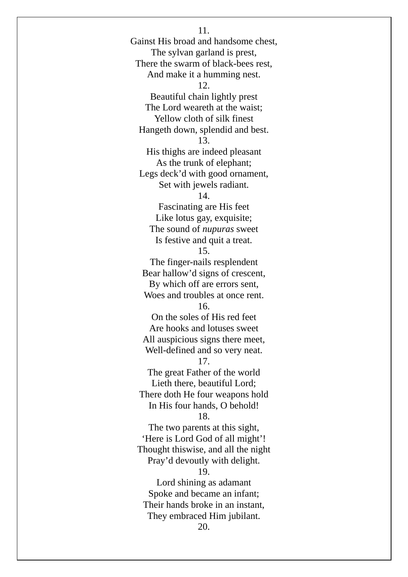Gainst His broad and handsome chest, The sylvan garland is prest, There the swarm of black-bees rest, And make it a humming nest. 12. Beautiful chain lightly prest The Lord weareth at the waist; Yellow cloth of silk finest Hangeth down, splendid and best. 13. His thighs are indeed pleasant As the trunk of elephant; Legs deck'd with good ornament, Set with jewels radiant. 14. Fascinating are His feet Like lotus gay, exquisite; The sound of *nupuras* sweet Is festive and quit a treat. 15. The finger-nails resplendent Bear hallow'd signs of crescent, By which off are errors sent, Woes and troubles at once rent. 16. On the soles of His red feet Are hooks and lotuses sweet All auspicious signs there meet, Well-defined and so very neat. 17. The great Father of the world Lieth there, beautiful Lord; There doth He four weapons hold In His four hands, O behold! 18. The two parents at this sight, 'Here is Lord God of all might'! Thought thiswise, and all the night Pray'd devoutly with delight. 19. Lord shining as adamant Spoke and became an infant; Their hands broke in an instant, They embraced Him jubilant. 20.

11.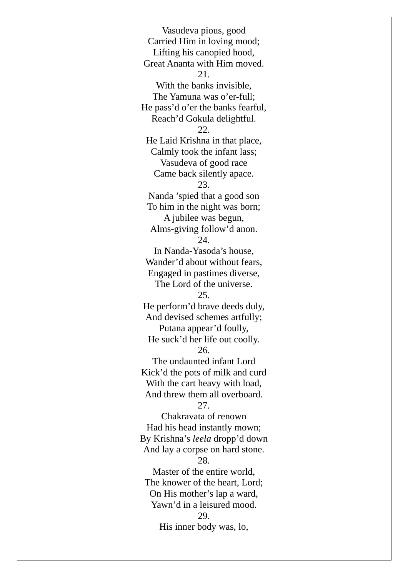Vasudeva pious, good Carried Him in loving mood; Lifting his canopied hood, Great Ananta with Him moved. 21. With the banks invisible, The Yamuna was o'er-full; He pass'd o'er the banks fearful, Reach'd Gokula delightful. 22. He Laid Krishna in that place, Calmly took the infant lass; Vasudeva of good race Came back silently apace. 23. Nanda 'spied that a good son To him in the night was born; A jubilee was begun, Alms-giving follow'd anon. 24. In Nanda-Yasoda's house, Wander'd about without fears, Engaged in pastimes diverse, The Lord of the universe. 25. He perform'd brave deeds duly, And devised schemes artfully; Putana appear'd foully, He suck'd her life out coolly. 26. The undaunted infant Lord Kick'd the pots of milk and curd With the cart heavy with load, And threw them all overboard. 27. Chakravata of renown Had his head instantly mown; By Krishna's *leela* dropp'd down And lay a corpse on hard stone. 28. Master of the entire world, The knower of the heart, Lord; On His mother's lap a ward, Yawn'd in a leisured mood. 29. His inner body was, lo,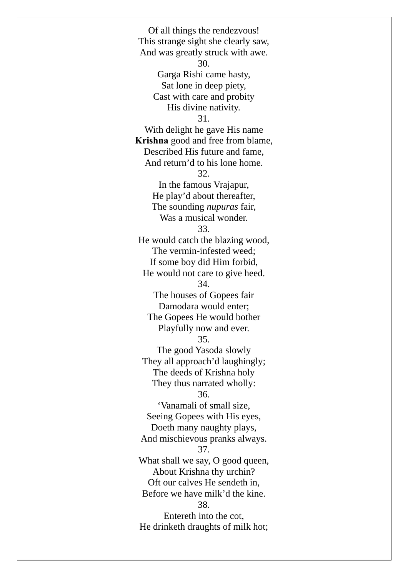Of all things the rendezvous! This strange sight she clearly saw, And was greatly struck with awe. 30. Garga Rishi came hasty, Sat lone in deep piety, Cast with care and probity His divine nativity. 31. With delight he gave His name **Krishna** good and free from blame, Described His future and fame, And return'd to his lone home. 32. In the famous Vrajapur, He play'd about thereafter, The sounding *nupuras* fair, Was a musical wonder. 33. He would catch the blazing wood, The vermin-infested weed; If some boy did Him forbid, He would not care to give heed. 34. The houses of Gopees fair Damodara would enter; The Gopees He would bother Playfully now and ever. 35. The good Yasoda slowly They all approach'd laughingly; The deeds of Krishna holy They thus narrated wholly: 36. 'Vanamali of small size, Seeing Gopees with His eyes, Doeth many naughty plays, And mischievous pranks always. 37. What shall we say, O good queen, About Krishna thy urchin? Oft our calves He sendeth in, Before we have milk'd the kine. 38. Entereth into the cot, He drinketh draughts of milk hot;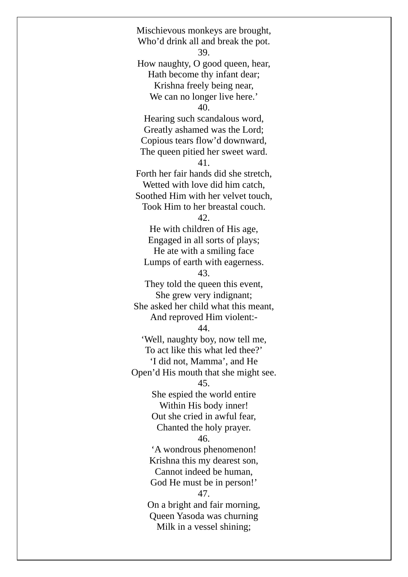Mischievous monkeys are brought, Who'd drink all and break the pot. 39. How naughty, O good queen, hear, Hath become thy infant dear; Krishna freely being near, We can no longer live here.' 40. Hearing such scandalous word, Greatly ashamed was the Lord; Copious tears flow'd downward, The queen pitied her sweet ward. 41. Forth her fair hands did she stretch, Wetted with love did him catch, Soothed Him with her velvet touch, Took Him to her breastal couch. 42. He with children of His age, Engaged in all sorts of plays; He ate with a smiling face Lumps of earth with eagerness. 43. They told the queen this event, She grew very indignant; She asked her child what this meant, And reproved Him violent:- 44. 'Well, naughty boy, now tell me, To act like this what led thee?' 'I did not, Mamma', and He Open'd His mouth that she might see. 45. She espied the world entire Within His body inner! Out she cried in awful fear, Chanted the holy prayer. 46. 'A wondrous phenomenon! Krishna this my dearest son, Cannot indeed be human, God He must be in person!' 47. On a bright and fair morning, Queen Yasoda was churning Milk in a vessel shining;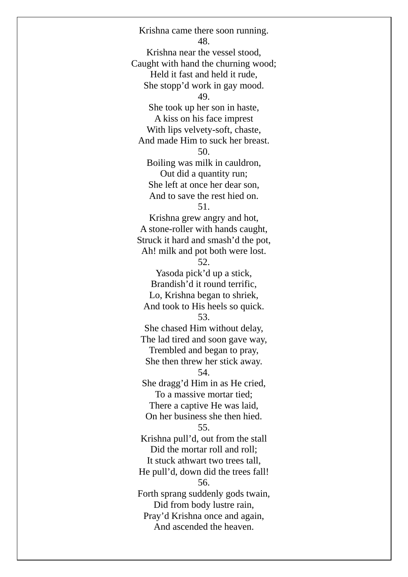Krishna came there soon running. 48. Krishna near the vessel stood, Caught with hand the churning wood; Held it fast and held it rude, She stopp'd work in gay mood. 49. She took up her son in haste, A kiss on his face imprest With lips velvety-soft, chaste, And made Him to suck her breast. 50. Boiling was milk in cauldron, Out did a quantity run; She left at once her dear son, And to save the rest hied on. 51. Krishna grew angry and hot, A stone-roller with hands caught, Struck it hard and smash'd the pot, Ah! milk and pot both were lost. 52. Yasoda pick'd up a stick, Brandish'd it round terrific, Lo, Krishna began to shriek, And took to His heels so quick. 53. She chased Him without delay, The lad tired and soon gave way, Trembled and began to pray, She then threw her stick away. 54. She dragg'd Him in as He cried, To a massive mortar tied; There a captive He was laid, On her business she then hied. 55. Krishna pull'd, out from the stall Did the mortar roll and roll; It stuck athwart two trees tall, He pull'd, down did the trees fall! 56. Forth sprang suddenly gods twain, Did from body lustre rain, Pray'd Krishna once and again, And ascended the heaven.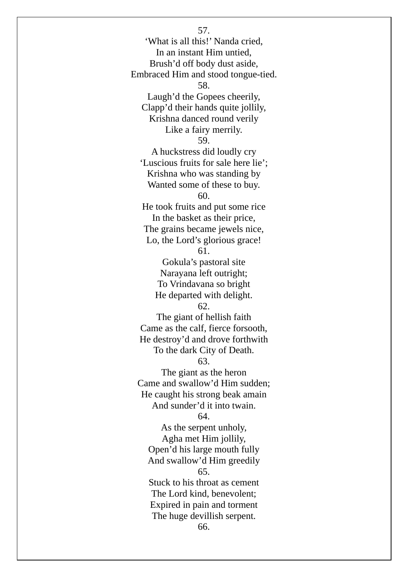57. 'What is all this!' Nanda cried, In an instant Him untied, Brush'd off body dust aside, Embraced Him and stood tongue-tied. 58. Laugh'd the Gopees cheerily, Clapp'd their hands quite jollily, Krishna danced round verily Like a fairy merrily. 59. A huckstress did loudly cry 'Luscious fruits for sale here lie'; Krishna who was standing by Wanted some of these to buy. 60. He took fruits and put some rice In the basket as their price, The grains became jewels nice, Lo, the Lord's glorious grace! 61. Gokula's pastoral site Narayana left outright; To Vrindavana so bright He departed with delight. 62. The giant of hellish faith Came as the calf, fierce forsooth, He destroy'd and drove forthwith To the dark City of Death. 63. The giant as the heron Came and swallow'd Him sudden; He caught his strong beak amain And sunder'd it into twain. 64. As the serpent unholy, Agha met Him jollily, Open'd his large mouth fully And swallow'd Him greedily 65. Stuck to his throat as cement The Lord kind, benevolent; Expired in pain and torment The huge devillish serpent.

66.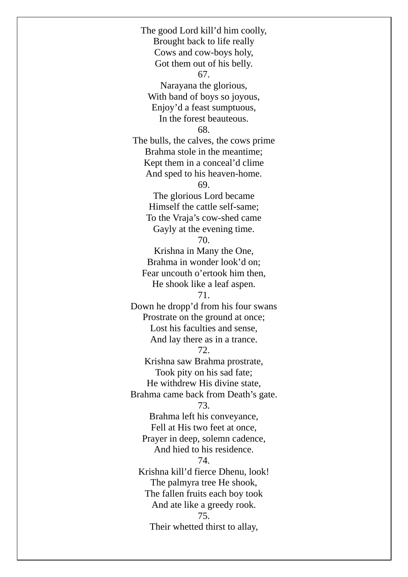The good Lord kill'd him coolly, Brought back to life really Cows and cow-boys holy, Got them out of his belly. 67. Narayana the glorious, With band of boys so joyous, Enjoy'd a feast sumptuous, In the forest beauteous. 68. The bulls, the calves, the cows prime Brahma stole in the meantime; Kept them in a conceal'd clime And sped to his heaven-home. 69. The glorious Lord became Himself the cattle self-same; To the Vraja's cow-shed came Gayly at the evening time. 70. Krishna in Many the One, Brahma in wonder look'd on; Fear uncouth o'ertook him then, He shook like a leaf aspen. 71. Down he dropp'd from his four swans Prostrate on the ground at once; Lost his faculties and sense, And lay there as in a trance. 72. Krishna saw Brahma prostrate, Took pity on his sad fate; He withdrew His divine state, Brahma came back from Death's gate. 73. Brahma left his conveyance, Fell at His two feet at once, Prayer in deep, solemn cadence, And hied to his residence. 74. Krishna kill'd fierce Dhenu, look! The palmyra tree He shook, The fallen fruits each boy took And ate like a greedy rook. 75. Their whetted thirst to allay,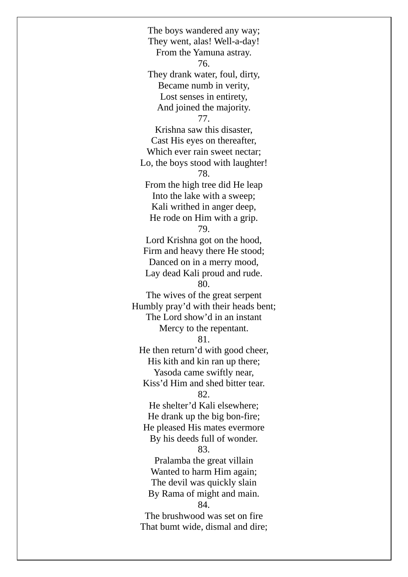The boys wandered any way; They went, alas! Well-a-day! From the Yamuna astray. 76. They drank water, foul, dirty, Became numb in verity, Lost senses in entirety, And joined the majority. 77. Krishna saw this disaster, Cast His eyes on thereafter, Which ever rain sweet nectar; Lo, the boys stood with laughter! 78. From the high tree did He leap Into the lake with a sweep; Kali writhed in anger deep, He rode on Him with a grip. 79. Lord Krishna got on the hood, Firm and heavy there He stood; Danced on in a merry mood, Lay dead Kali proud and rude. 80. The wives of the great serpent Humbly pray'd with their heads bent; The Lord show'd in an instant Mercy to the repentant. 81. He then return'd with good cheer, His kith and kin ran up there; Yasoda came swiftly near, Kiss'd Him and shed bitter tear. 82. He shelter'd Kali elsewhere; He drank up the big bon-fire; He pleased His mates evermore By his deeds full of wonder. 83. Pralamba the great villain Wanted to harm Him again; The devil was quickly slain By Rama of might and main. 84. The brushwood was set on fire That bumt wide, dismal and dire;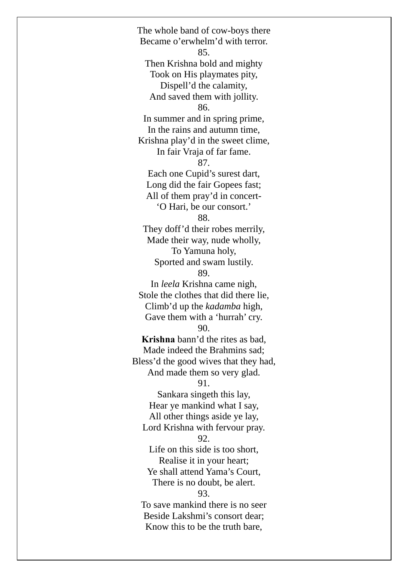The whole band of cow-boys there Became o'erwhelm'd with terror. 85. Then Krishna bold and mighty Took on His playmates pity, Dispell'd the calamity, And saved them with jollity. 86. In summer and in spring prime, In the rains and autumn time, Krishna play'd in the sweet clime, In fair Vraja of far fame. 87. Each one Cupid's surest dart, Long did the fair Gopees fast; All of them pray'd in concert- 'O Hari, be our consort.' 88. They doff'd their robes merrily, Made their way, nude wholly, To Yamuna holy, Sported and swam lustily. 89. In *leela* Krishna came nigh, Stole the clothes that did there lie, Climb'd up the *kadamba* high, Gave them with a 'hurrah' cry. 90. **Krishna** bann'd the rites as bad, Made indeed the Brahmins sad; Bless'd the good wives that they had, And made them so very glad. 91. Sankara singeth this lay, Hear ye mankind what I say, All other things aside ye lay, Lord Krishna with fervour pray. 92. Life on this side is too short, Realise it in your heart; Ye shall attend Yama's Court, There is no doubt, be alert. 93. To save mankind there is no seer Beside Lakshmi's consort dear; Know this to be the truth bare,